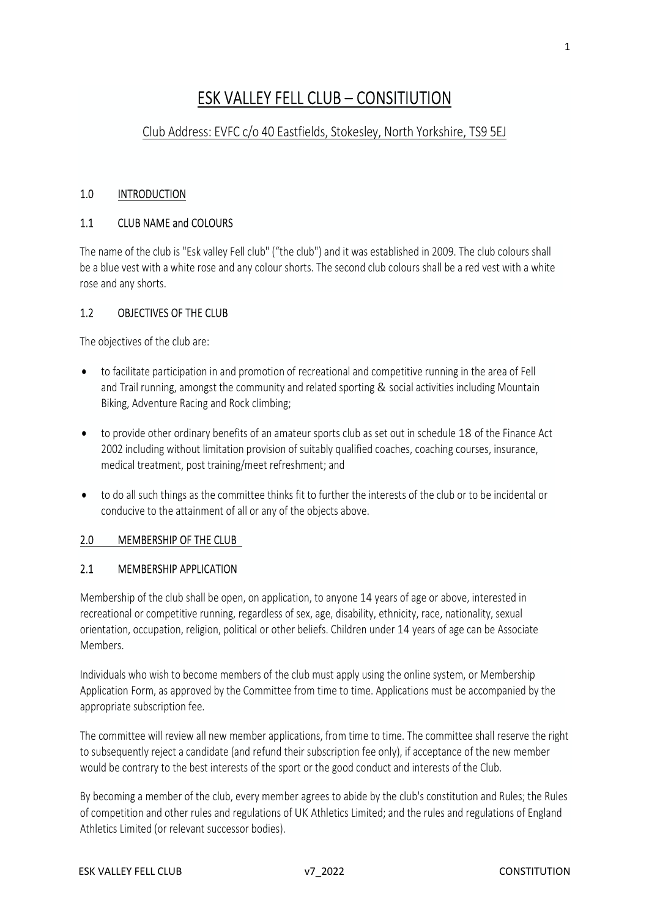# ESK VALLEY FELL CLUB – CONSITIUTION

# Club Address: EVFC c/o 40 Eastfields, Stokesley, North Yorkshire, TS9 5EJ

### 1.0 INTRODUCTION

### 1.1 CLUB NAME and COLOURS

The name of the club is "Esk valley Fell club" ("the club") and it was established in 2009. The club colours shall be a blue vest with a white rose and any colour shorts. The second club colours shall be a red vest with a white rose and any shorts.

### 1.2 OBJECTIVES OF THE CLUB

The objectives of the club are:

- to facilitate participation in and promotion of recreational and competitive running in the area of Fell and Trail running, amongst the community and related sporting & social activities including Mountain Biking, Adventure Racing and Rock climbing;
- to provide other ordinary benefits of an amateur sports club as set out in schedule 18 of the Finance Act 2002 including without limitation provision of suitably qualified coaches, coaching courses, insurance, medical treatment, post training/meet refreshment; and
- to do all such things as the committee thinks fit to further the interests of the club or to be incidental or conducive to the attainment of all or any of the objects above.

# 2.0 MEMBERSHIP OF THE CLUB

#### 2.1 MEMBERSHIP APPLICATION

Membership of the club shall be open, on application, to anyone 14 years of age or above, interested in recreational or competitive running, regardless of sex, age, disability, ethnicity, race, nationality, sexual orientation, occupation, religion, political or other beliefs. Children under 14 years of age can be Associate Members.

Individuals who wish to become members of the club must apply using the online system, or Membership Application Form, as approved by the Committee from time to time. Applications must be accompanied by the appropriate subscription fee.

The committee will review all new member applications, from time to time. The committee shall reserve the right to subsequently reject a candidate (and refund their subscription fee only), if acceptance of the new member would be contrary to the best interests of the sport or the good conduct and interests of the Club.

By becoming a member of the club, every member agrees to abide by the club's constitution and Rules; the Rules of competition and other rules and regulations of UK Athletics Limited; and the rules and regulations of England Athletics Limited (or relevant successor bodies).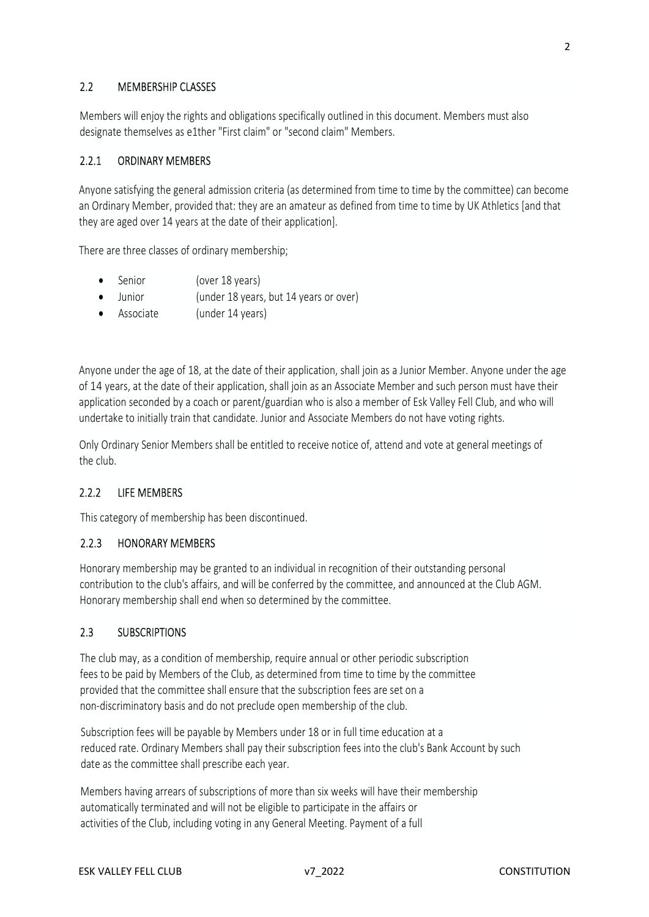# 2.2 MEMBERSHIP CLASSES

Members will enjoy the rights and obligations specifically outlined in this document. Members must also designate themselves as e1ther "First claim" or "second claim" Members.

# 2.2.1 ORDINARY MEMBERS

Anyone satisfying the general admission criteria (as determined from time to time by the committee) can become an Ordinary Member, provided that: they are an amateur as defined from time to time by UK Athletics [and that they are aged over 14 years at the date of their application].

There are three classes of ordinary membership;

- Senior (over 18 years)
- Junior (under 18 years, but 14 years or over)
- Associate (under 14 years)

Anyone under the age of 18, at the date of their application, shall join as a Junior Member. Anyone under the age of 14 years, at the date of their application, shall join as an Associate Member and such person must have their application seconded by a coach or parent/guardian who is also a member of Esk Valley Fell Club, and who will undertake to initially train that candidate. Junior and Associate Members do not have voting rights.

Only Ordinary Senior Members shall be entitled to receive notice of, attend and vote at general meetings of the club.

# 2.2.2 LIFE MEMBERS

This category of membership has been discontinued.

# 2.2.3 HONORARY MEMBERS

Honorary membership may be granted to an individual in recognition of their outstanding personal contribution to the club's affairs, and will be conferred by the committee, and announced at the Club AGM. Honorary membership shall end when so determined by the committee.

#### 2.3 SUBSCRIPTIONS

The club may, as a condition of membership, require annual or other periodic subscription fees to be paid by Members of the Club, as determined from time to time by the committee provided that the committee shall ensure that the subscription fees are set on a non-discriminatory basis and do not preclude open membership of the club.

Subscription fees will be payable by Members under 18 or in full time education at a reduced rate. Ordinary Members shall pay their subscription fees into the club's Bank Account by such date as the committee shall prescribe each year.

Members having arrears of subscriptions of more than six weeks will have their membership automatically terminated and will not be eligible to participate in the affairs or activities of the Club, including voting in any General Meeting. Payment of a full

2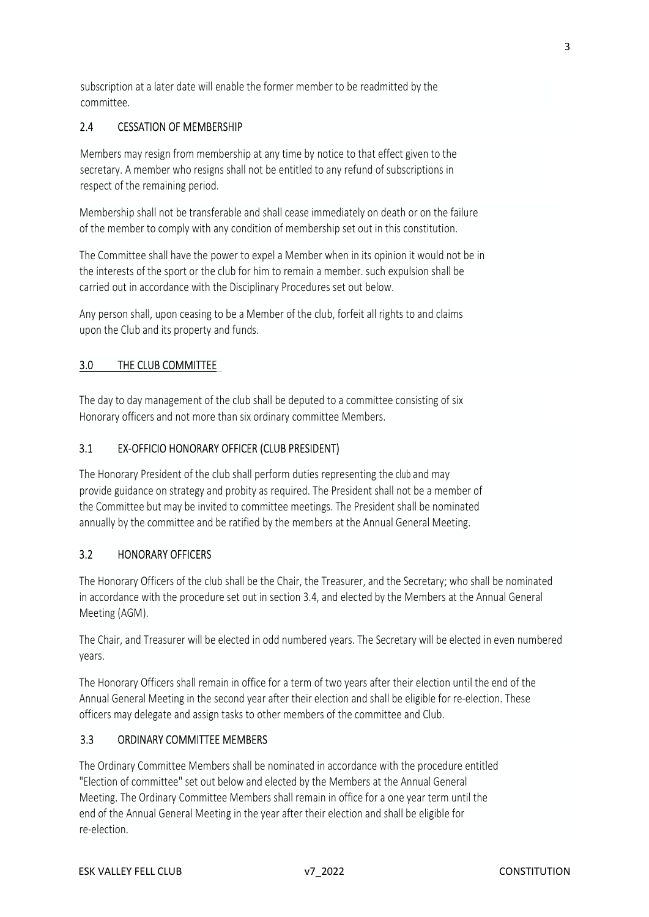subscription at a later date will enable the former member to be readmitted by the committee.

# 2.4 CESSATION OF MEMBERSHIP

Members may resign from membership at any time by notice to that effect given to the secretary. A member who resigns shall not be entitled to any refund of subscriptions in respect of the remaining period.<br>Membership shall not be transferable and shall cease immediately on death or on the failure

of the member to comply with any condition of membership set out in this constitution.

The Committee shall have the power to expel a Member when in its opinion it would not be in the interests of the sport or the club for him to remain a member. such expulsion shall be carried out in accordance with the Disciplinary Procedures set out below.

Any person shall, upon ceasing to be a Member of the club, forfeit all rights to and claims upon the Club and its property and funds.

3.0 THE CLUB COMMITTEE<br>The day to day management of the club shall be deputed to a committee consisting of six Honorary officers and not more than six ordinary committee Members.

## 3.1 EX-OFFICIO HONORARY OFFICER (CLUB PRESIDENT)

The Honorary President of the club shall perform duties representing the club and may provide guidance on strategy and probity as required. The President shall not be a member of the Committee but may be invited to committee meetings. The President shall be nominated annually by the committee and be ratified by the members at the Annual General Meeting.

#### 3.2 HONORARY OFFICERS

The Honorary Officers of the club shall be the Chair, the Treasurer, and the Secretary; who shall be nominated in accordance with the procedure set out in section 3.4, and elected by the Members at the Annual General Meeting (AGM).

The Chair, and Treasurer will be elected in odd numbered years. The Secretary will be elected in even numbered years.

The Honorary Officers shall remain in office for a term of two years after their election until the end of the Annual General Meeting in the second year after their election and shall be eligible for re-election. These officers may delegate and assign tasks to other members of the committee and Club.

#### 3.3 ORDINARY COMMITTEE MEMBERS

The Ordinary Committee Members shall be nominated in accordance with the procedure entitled "Election of committee" set out below and elected by the Members at the Annual General Meeting. The Ordinary Committee Members shall remain in office for a one year term until the end of the Annual General Meeting in the year after their election and shall be eligible for re-election.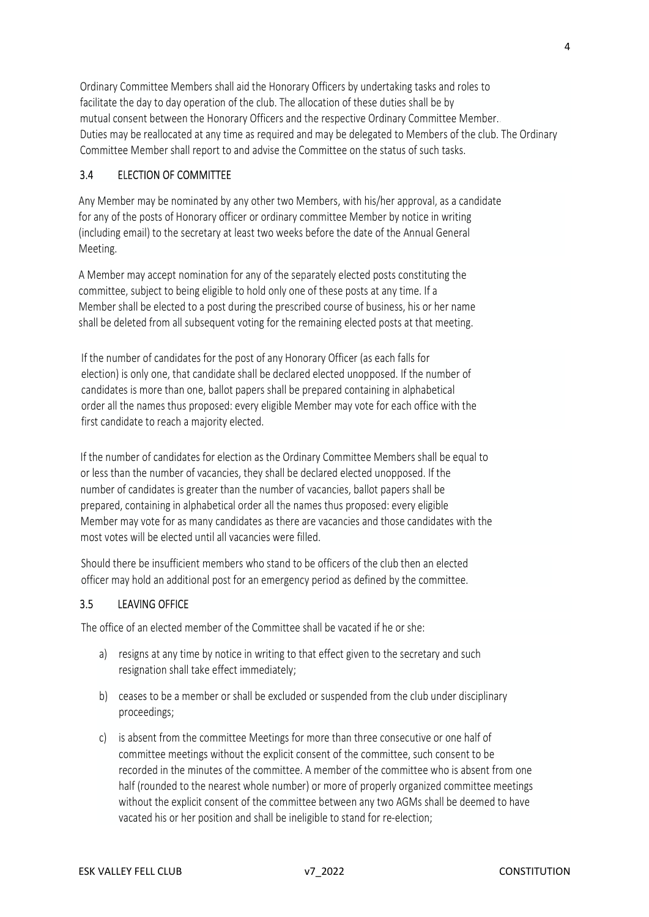Ordinary Committee Members shall aid the Honorary Officers by undertaking tasks and roles to facilitate the day to day operation of the club. The allocation of these duties shall be by mutual consent between the Honorary Officers and the respective Ordinary Committee Member.<br>Duties may be reallocated at any time as required and may be delegated to Members of the club. The Ordinary Committee Member shall report to and advise the Committee on the status of such tasks.

### 3.4 ELECTION OF COMMITTEE

Any Member may be nominated by any other two Members, with his/her approval, as a candidate for any of the posts of Honorary officer or ordinary committee Member by notice in writing (including email) to the secretary at least two weeks before the date of the Annual General Meeting.

A Member may accept nomination for any of the separately elected posts constituting the committee, subject to being eligible to hold only one of these posts at any time. If a Member shall be elected to a post during the prescribed course of business, his or her name shall be deleted from all subsequent voting for the remaining elected posts at that meeting.

If the number of candidates for the post of any Honorary Officer (as each falls for election) is only one, that candidate shall be declared elected unopposed. If the number of candidates is more than one, ballot papers shall be prepared containing in alphabetical order all the names thus proposed: every eligible Member may vote for each office with the first candidate to reach a majority elected.

If the number of candidates for election as the Ordinary Committee Members shall be equal to or less than the number of vacancies, they shall be declared elected unopposed. If the number of candidates is greater than the number of vacancies, ballot papers shall be prepared, containing in alphabetical order all the names thus proposed: every eligible Member may vote for as many candidates as there are vacancies and those candidates with the most votes will be elected until all vacancies were filled.

Should there be insufficient members who stand to be officers of the club then an elected officer may hold an additional post for an emergency period as defined by the committee.

# 3.5 LEAVING OFFICE

The office of an elected member of the Committee shall be vacated if he or she:

- a) resigns at any time by notice in writing to that effect given to the secretary and such resignation shall take effect immediately;
- b) ceases to be a member or shall be excluded or suspended from the club under disciplinary proceedings;
- c) is absent from the committee Meetings for more than three consecutive or one half of committee meetings without the explicit consent of the committee, such consent to be recorded in the minutes of the committee. A member of the committee who is absent from one half (rounded to the nearest whole number) or more of properly organized committee meetings without the explicit consent of the committee between any two AGMs shall be deemed to have vacated his or her position and shall be ineligible to stand for re-election;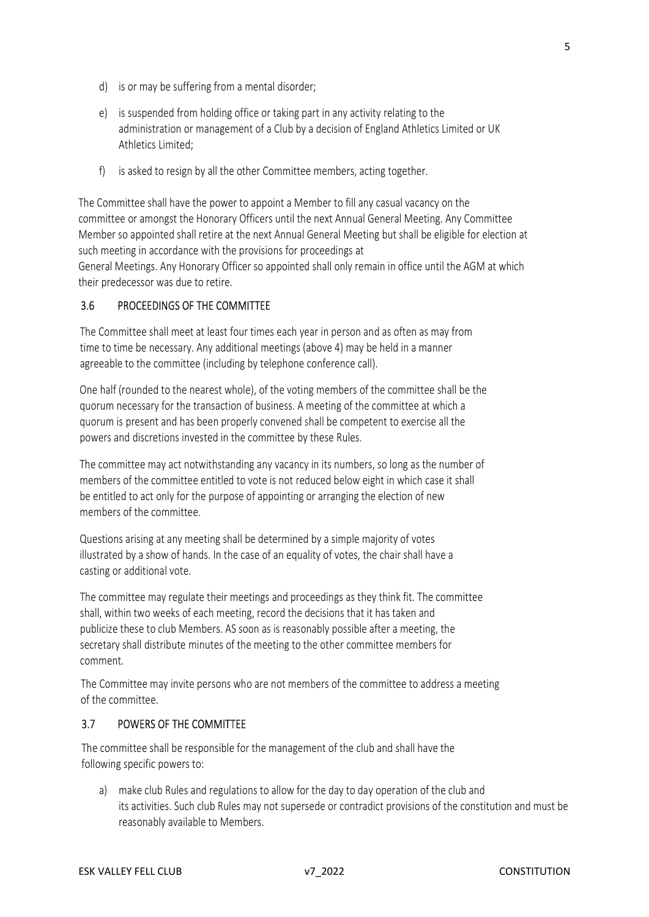- d) is or may be suffering from a mental disorder;
- e) is suspended from holding office or taking part in any activity relating to the administration or management of a Club by a decision of England Athletics Limited or UK Athletics Limited;
- f) is asked to resign by all the other Committee members, acting together.

The Committee shall have the power to appoint a Member to fill any casual vacancy on the committee or amongst the Honorary Officers until the next Annual General Meeting. Any Committee Member so appointed shall retire at the next Annual General Meeting but shall be eligible for election at such meeting in accordance with the provisions for proceedings at

General Meetings. Any Honorary Officer so appointed shall only remain in office until the AGM at which their predecessor was due to retire.

## 3.6 PROCEEDINGS OF THE COMMITTEE

The Committee shall meet at least four times each year in person and as often as may from time to time be necessary. Any additional meetings (above 4) may be held in a manner agreeable to the committee (including by telephone conference call).

One half (rounded to the nearest whole), of the voting members of the committee shall be the quorum necessary for the transaction of business. A meeting of the committee at which a quorum is present and has been properly convened shall be competent to exercise all the powers and discretions invested in the committee by these Rules.<br>The committee may act notwithstanding any vacancy in its numbers, so long as the number of

members of the committee entitled to vote is not reduced below eight in which case it shall be entitled to act only for the purpose of appointing or arranging the election of new

members of the committee.<br>Questions arising at any meeting shall be determined by a simple majority of votes illustrated by a show of hands. In the case of an equality of votes, the chair shall have a casting or additional vote.

The committee may regulate their meetings and proceedings as they think fit. The committee shall, within two weeks of each meeting, record the decisions that it has taken and publicize these to club Members. AS soon as is reasonably possible after a meeting, the secretary shall distribute minutes of the meeting to the other committee members for comment.

The Committee may invite persons who are not members of the committee to address a meeting of the committee.

#### 3.7 POWERS OF THE COMMITTEE

The committee shall be responsible for the management of the club and shall have the

following specific powers to: a) make club Rules and regulations to allow for the day to day operation of the club and its activities. Such club Rules may not supersede or contradict provisions of the constitution and must be reasonably available to Members.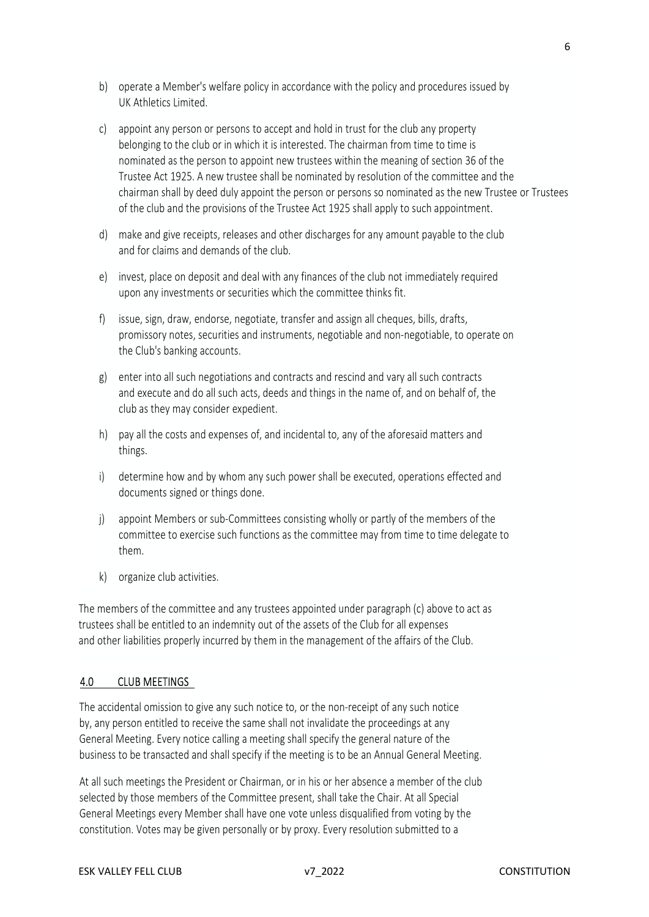- b) operate a Member's welfare policy in accordance with the policy and procedures issued by UK Athletics Limited.
- c) appoint any person or persons to accept and hold in trust for the club any property belonging to the club or in which it is interested. The chairman from time to time is nominated as the person to appoint new trustees within the meaning of section 36 of the Trustee Act 1925. A new trustee shall be nominated by resolution of the committee and the chairman shall by deed duly appoint the person or persons so nominated as the new Trustee or Trustees of the club and the provisions of the Trustee Act 1925 shall apply to such appointment.
- d) make and give receipts, releases and other discharges for any amount payable to the club and for claims and demands of the club.
- e) invest, place on deposit and deal with any finances of the club not immediately required upon any investments or securities which the committee thinks fit.
- f) issue, sign, draw, endorse, negotiate, transfer and assign all cheques, bills, drafts, promissory notes, securities and instruments, negotiable and non-negotiable, to operate on the Club's banking accounts.
- g) enter into all such negotiations and contracts and rescind and vary all such contracts and execute and do all such acts, deeds and things in the name of, and on behalf of, the club as they may consider expedient.
- h) pay all the costs and expenses of, and incidental to, any of the aforesaid matters and things.
- i) determine how and by whom any such power shall be executed, operations effected and documents signed or things done.
- j) appoint Members or sub-Committees consisting wholly or partly of the members of the committee to exercise such functions as the committee may from time to time delegate to them.
- k) organize club activities.

The members of the committee and any trustees appointed under paragraph (c) above to act as trustees shall be entitled to an indemnity out of the assets of the Club for all expenses and other liabilities properly incurred by them in the management of the affairs of the Club.

#### 4.0 CLUB MEETINGS

The accidental omission to give any such notice to, or the non-receipt of any such notice by, any person entitled to receive the same shall not invalidate the proceedings at any General Meeting. Every notice calling a meeting shall specify the general nature of the business to be transacted and shall specify if the meeting is to be an Annual General Meeting.

At all such meetings the President or Chairman, or in his or her absence a member of the club selected by those members of the Committee present, shall take the Chair. At all Special General Meetings every Member shall have one vote unless disqualified from voting by the constitution. Votes may be given personally or by proxy. Every resolution submitted to a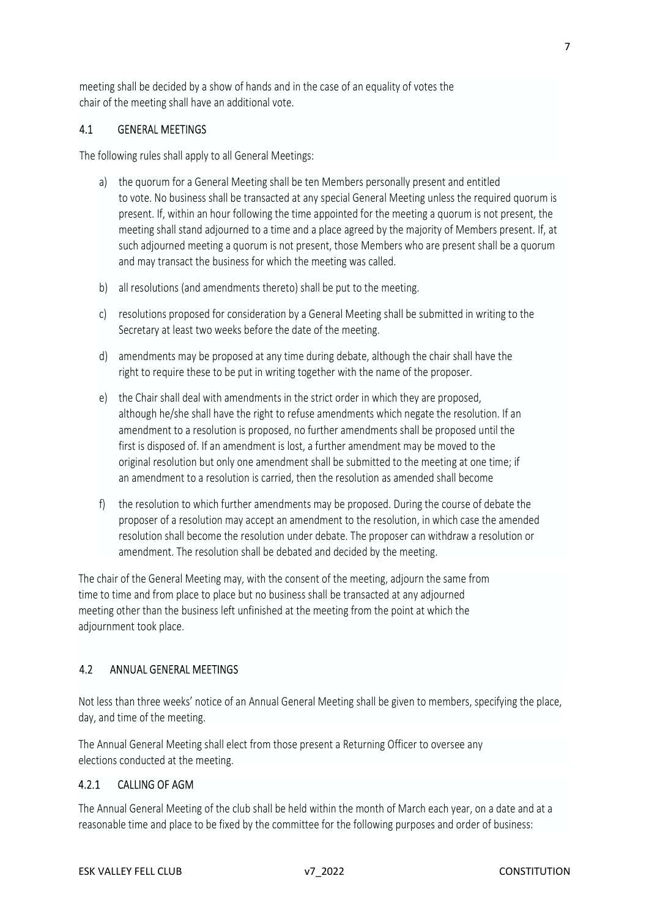meeting shall be decided by a show of hands and in the case of an equality of votes the chair of the meeting shall have an additional vote.

#### 4.1 GENERAL MEETINGS

The following rules shall apply to all General Meetings:

- a) the quorum for a General Meeting shall be ten Members personally present and entitled to vote. No business shall be transacted at any special General Meeting unless the required quorum is present. If, within an hour following the time appointed for the meeting a quorum is not present, the meeting shall stand adjourned to a time and a place agreed by the majority of Members present. If, at such adjourned meeting a quorum is not present, those Members who are present shall be a quorum and may transact the business for which the meeting was called.
- b) all resolutions (and amendments thereto) shall be put to the meeting.
- c) resolutions proposed for consideration by a General Meeting shall be submitted in writing to the Secretary at least two weeks before the date of the meeting.
- d) amendments may be proposed at any time during debate, although the chair shall have the right to require these to be put in writing together with the name of the proposer.
- e) the Chair shall deal with amendments in the strict order in which they are proposed, although he/she shall have the right to refuse amendments which negate the resolution. If an amendment to a resolution is proposed, no further amendments shall be proposed until the first is disposed of. If an amendment is lost, a further amendment may be moved to the original resolution but only one amendment shall be submitted to the meeting at one time; if an amendment to a resolution is carried, then the resolution as amended shall become
- f) the resolution to which further amendments may be proposed. During the course of debate the proposer of a resolution may accept an amendment to the resolution, in which case the amended resolution shall become the resolution under debate. The proposer can withdraw a resolution or amendment. The resolution shall be debated and decided by the meeting.

The chair of the General Meeting may, with the consent of the meeting, adjourn the same from time to time and from place to place but no business shall be transacted at any adjourned meeting other than the business left unfinished at the meeting from the point at which the adjournment took place.<br>4.2 ANNUAL GENERAL MEETINGS

Not less than three weeks' notice of an Annual General Meeting shall be given to members, specifying the place, day, and time of the meeting.

The Annual General Meeting shall elect from those present a Returning Officer to oversee any elections conducted at the meeting.<br>4.2.1 CALLING OF AGM

The Annual General Meeting of the club shall be held within the month of March each year, on a date and at a reasonable time and place to be fixed by the committee for the following purposes and order of business: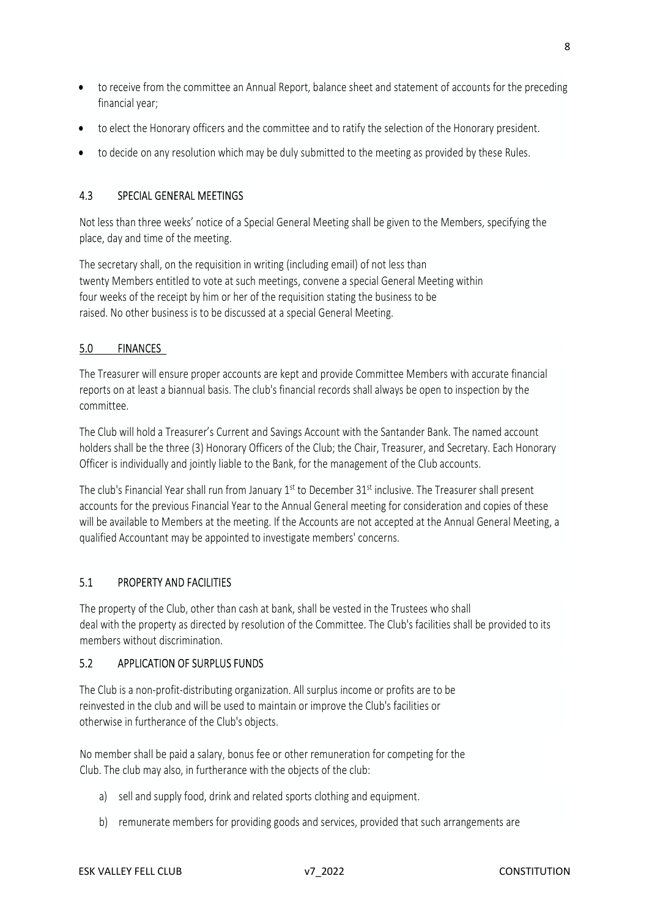- to receive from the committee an Annual Report, balance sheet and statement of accounts for the preceding financial year;
- to elect the Honorary officers and the committee and to ratify the selection of the Honorary president.
- to decide on any resolution which may be duly submitted to the meeting as provided by these Rules.

## 4.3 SPECIAL GENERAL MEETINGS

Not less than three weeks' notice of a Special General Meeting shall be given to the Members, specifying the place, day and time of the meeting.

The secretary shall, on the requisition in writing (including email) of not less than twenty Members entitled to vote at such meetings, convene a special General Meeting within four weeks of the receipt by him or her of the requisition stating the business to be raised. No other business is to be discussed at a special General Meeting.

### 5.0 FINANCES

The Treasurer will ensure proper accounts are kept and provide Committee Members with accurate financial reports on at least a biannual basis. The club's financial records shall always be open to inspection by the committee.

The Club will hold a Treasurer's Current and Savings Account with the Santander Bank. The named account holders shall be the three (3) Honorary Officers of the Club; the Chair, Treasurer, and Secretary. Each Honorary Officer is individually and jointly liable to the Bank, for the management of the Club accounts.

The club's Financial Year shall run from January 1<sup>st</sup> to December 31<sup>st</sup> inclusive. The Treasurer shall present accounts for the previous Financial Year to the Annual General meeting for consideration and copies of these will be available to Members at the meeting. If the Accounts are not accepted at the Annual General Meeting, a qualified Accountant may be appointed to investigate members' concerns.

# 5.1 PROPERTY AND FACILITIES

The property of the Club, other than cash at bank, shall be vested in the Trustees who shall deal with the property as directed by resolution of the Committee. The Club's facilities shall be provided to its members without discrimination.

#### 5.2 APPLICATION OF SURPLUS FUNDS

The Club is a non-profit-distributing organization. All surplus income or profits are to be reinvested in the club and will be used to maintain or improve the Club's facilities or otherwise in furtherance of the Club's objects.

No member shall be paid a salary, bonus fee or other remuneration for competing for the Club. The club may also, in furtherance with the objects of the club:

- a) sell and supply food, drink and related sports clothing and equipment.
- b) remunerate members for providing goods and services, provided that such arrangements are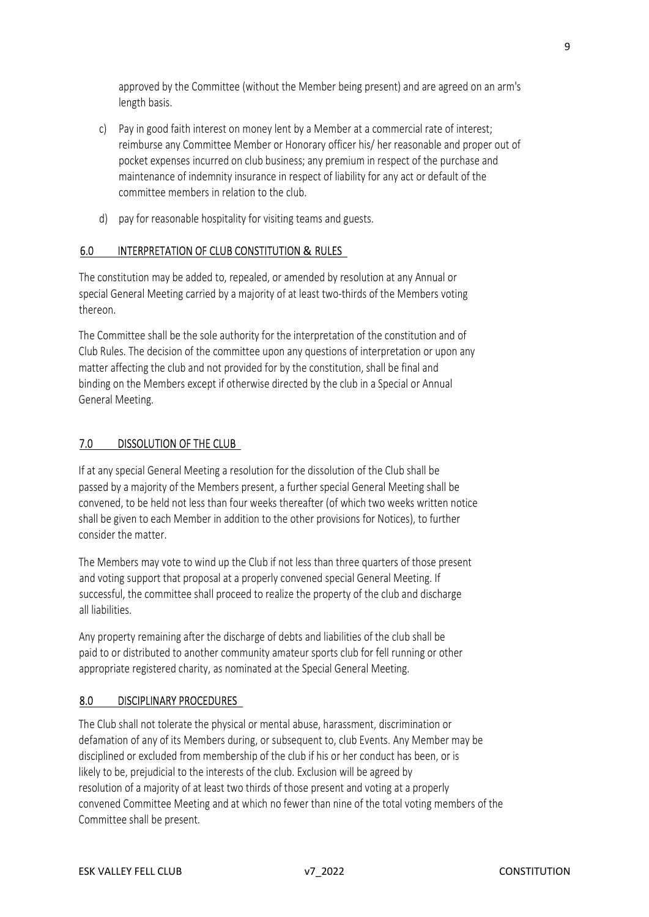approved by the Committee (without the Member being present) and are agreed on an arm's length basis.

- c) Pay in good faith interest on money lent by a Member at a commercial rate of interest; reimburse any Committee Member or Honorary officer his/ her reasonable and proper out of pocket expenses incurred on club business; any premium in respect of the purchase and maintenance of indemnity insurance in respect of liability for any act or default of the committee members in relation to the club.
- d) pay for reasonable hospitality for visiting teams and guests.

### 6.0 INTERPRETATION OF CLUB CONSTITUTION & RULES

The constitution may be added to, repealed, or amended by resolution at any Annual or special General Meeting carried by a majority of at least two-thirds of the Members voting thereon.

The Committee shall be the sole authority for the interpretation of the constitution and of Club Rules. The decision of the committee upon any questions of interpretation or upon any matter affecting the club and not provided for by the constitution, shall be final and binding on the Members except if otherwise directed by the club in a Special or Annual General Meeting.

### 7.0 DISSOLUTION OF THE CLUB

If at any special General Meeting a resolution for the dissolution of the Club shall be passed by a majority of the Members present, a further special General Meeting shall be convened, to be held not less than four weeks thereafter (of which two weeks written notice shall be given to each Member in addition to the other provisions for Notices), to further consider the matter.

The Members may vote to wind up the Club if not less than three quarters of those present and voting support that proposal at a properly convened special General Meeting. If successful, the committee shall proceed to realize the property of the club and discharge all liabilities.

Any property remaining after the discharge of debts and liabilities of the club shall be paid to or distributed to another community amateur sports club for fell running or other appropriate registered charity, as nominated at the Special General Meeting.

#### 8.0 DISCIPLINARY PROCEDURES

The Club shall not tolerate the physical or mental abuse, harassment, discrimination or defamation of any of its Members during, or subsequent to, club Events. Any Member may be disciplined or excluded from membership of the club if his or her conduct has been, or is likely to be, prejudicial to the interests of the club. Exclusion will be agreed by resolution of a majority of at least two thirds of those present and voting at a properly convened Committee Meeting and at which no fewer than nine of the total voting members of the Committee shall be present.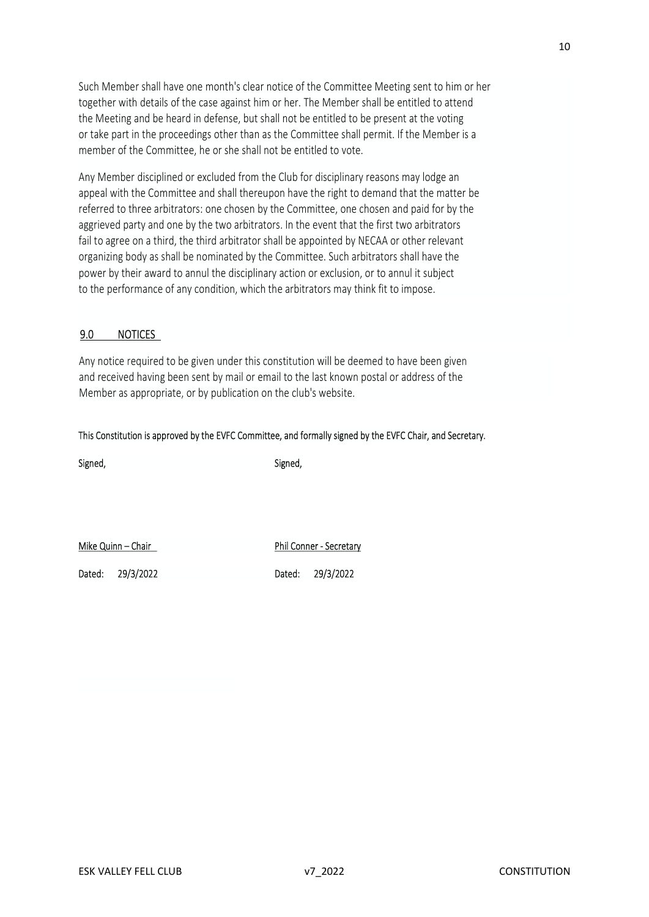Such Member shall have one month's clear notice of the Committee Meeting sent to him or her together with details of the case against him or her. The Member shall be entitled to attend the Meeting and be heard in defense, but shall not be entitled to be present at the voting or take part in the proceedings other than as the Committee shall permit. If the Member is a member of the Committee, he or she shall not be entitled to vote.

Any Member disciplined or excluded from the Club for disciplinary reasons may lodge an appeal with the Committee and shall thereupon have the right to demand that the matter be referred to three arbitrators: one chosen by the Committee, one chosen and paid for by the aggrieved party and one by the two arbitrators. In the event that the first two arbitrators fail to agree on a third, the third arbitrator shall be appointed by NECAA or other relevant organizing body as shall be nominated by the Committee. Such arbitrators shall have the power by their award to annul the disciplinary action or exclusion, or to annul it subject to the performance of any condition, which the arbitrators may think fit to impose.

#### 9.0 NOTICES

Any notice required to be given under this constitution will be deemed to have been given and received having been sent by mail or email to the last known postal or address of the Member as appropriate, or by publication on the club's website.

#### This Constitution is approved by the EVFC Committee, and formally signed by the EVFC Chair, and Secretary.

Signed, Signed,

Mike Quinn – Chair Phil Conner - Secretary<br>Phil Conner - Secretary

Dated: 29/3/2022 Dated: 29/3/2022